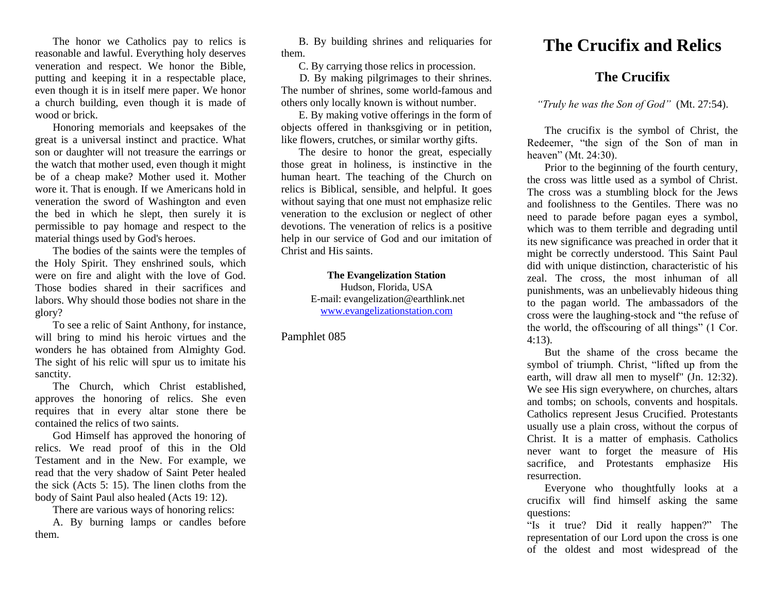The honor we Catholics pay to relics is reasonable and lawful. Everything holy deserves veneration and respect. We honor the Bible, putting and keeping it in a respectable place, even though it is in itself mere paper. We honor a church building, even though it is made of wood or brick.

Honoring memorials and keepsakes of the great is a universal instinct and practice. What son or daughter will not treasure the earrings or the watch that mother used, even though it might be of a cheap make? Mother used it. Mother wore it. That is enough. If we Americans hold in veneration the sword of Washington and even the bed in which he slept, then surely it is permissible to pay homage and respect to the material things used by God's heroes.

The bodies of the saints were the temples of the Holy Spirit. They enshrined souls, which were on fire and alight with the love of God. Those bodies shared in their sacrifices and labors. Why should those bodies not share in the glory?

To see a relic of Saint Anthony, for instance, will bring to mind his heroic virtues and the wonders he has obtained from Almighty God. The sight of his relic will spur us to imitate his sanctity.

The Church, which Christ established, approves the honoring of relics. She even requires that in every altar stone there be contained the relics of two saints.

God Himself has approved the honoring of relics. We read proof of this in the Old Testament and in the New. For example, we read that the very shadow of Saint Peter healed the sick (Acts 5: 15). The linen cloths from the body of Saint Paul also healed (Acts 19: 12).

There are various ways of honoring relics:

A. By burning lamps or candles before them.

B. By building shrines and reliquaries for them.

C. By carrying those relics in procession.

D. By making pilgrimages to their shrines. The number of shrines, some world-famous and others only locally known is without number.

E. By making votive offerings in the form of objects offered in thanksgiving or in petition, like flowers, crutches, or similar worthy gifts.

The desire to honor the great, especially those great in holiness, is instinctive in the human heart. The teaching of the Church on relics is Biblical, sensible, and helpful. It goes without saying that one must not emphasize relic veneration to the exclusion or neglect of other devotions. The veneration of relics is a positive help in our service of God and our imitation of Christ and His saints.

> **The Evangelization Station** Hudson, Florida, USA E-mail: evangelization@earthlink.net [www.evangelizationstation.com](http://www.pjpiisoe.org/)

Pamphlet 085

## **The Crucifix and Relics**

## **The Crucifix**

*"Truly he was the Son of God"* (Mt. 27:54).

The crucifix is the symbol of Christ, the Redeemer, "the sign of the Son of man in heaven" (Mt. 24:30).

Prior to the beginning of the fourth century, the cross was little used as a symbol of Christ. The cross was a stumbling block for the Jews and foolishness to the Gentiles. There was no need to parade before pagan eyes a symbol, which was to them terrible and degrading until its new significance was preached in order that it might be correctly understood. This Saint Paul did with unique distinction, characteristic of his zeal. The cross, the most inhuman of all punishments, was an unbelievably hideous thing to the pagan world. The ambassadors of the cross were the laughing-stock and "the refuse of the world, the offscouring of all things" (1 Cor. 4:13).

But the shame of the cross became the symbol of triumph. Christ, "lifted up from the earth, will draw all men to myself" (Jn. 12:32). We see His sign everywhere, on churches, altars and tombs; on schools, convents and hospitals. Catholics represent Jesus Crucified. Protestants usually use a plain cross, without the corpus of Christ. It is a matter of emphasis. Catholics never want to forget the measure of His sacrifice, and Protestants emphasize His resurrection.

Everyone who thoughtfully looks at a crucifix will find himself asking the same questions:

"Is it true? Did it really happen?" The representation of our Lord upon the cross is one of the oldest and most widespread of the